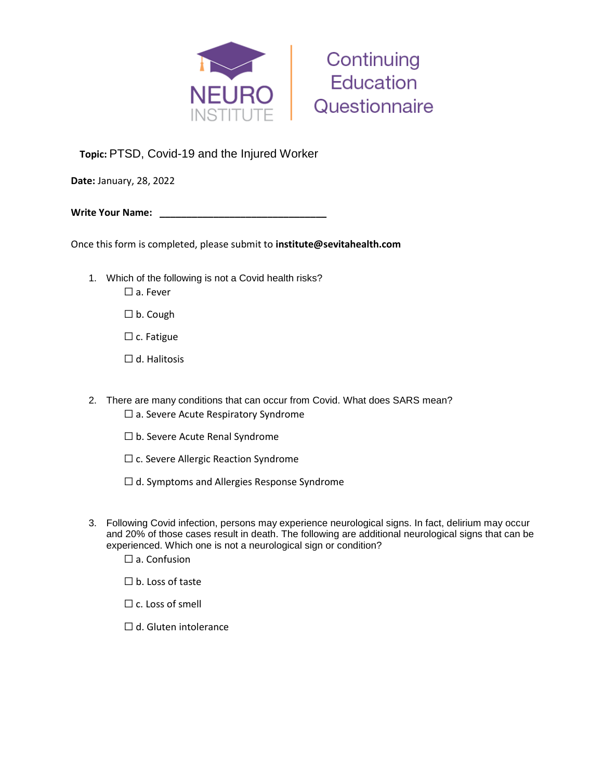



**Topic:** PTSD, Covid-19 and the Injured Worker

**Date:** January, 28, 2022

**Write Your Name: \_\_\_\_\_\_\_\_\_\_\_\_\_\_\_\_\_\_\_\_\_\_\_\_\_\_\_\_\_\_\_** 

Once this form is completed, please submit to **institute@sevitahealth.com**

- 1. Which of the following is not a Covid health risks? ☐ a. Fever
	-
	- ☐ b. Cough
	- $\Box$  c. Fatigue
	- ☐ d. Halitosis
- 2. There are many conditions that can occur from Covid. What does SARS mean? ☐ a. Severe Acute Respiratory Syndrome
	- ☐ b. Severe Acute Renal Syndrome
	- □ c. Severe Allergic Reaction Syndrome
	- ☐ d. Symptoms and Allergies Response Syndrome
- 3. Following Covid infection, persons may experience neurological signs. In fact, delirium may occur and 20% of those cases result in death. The following are additional neurological signs that can be experienced. Which one is not a neurological sign or condition?
	- $\square$  a. Confusion
	- ☐ b. Loss of taste
	- $\Box$  c. Loss of smell
	- $\Box$  d. Gluten intolerance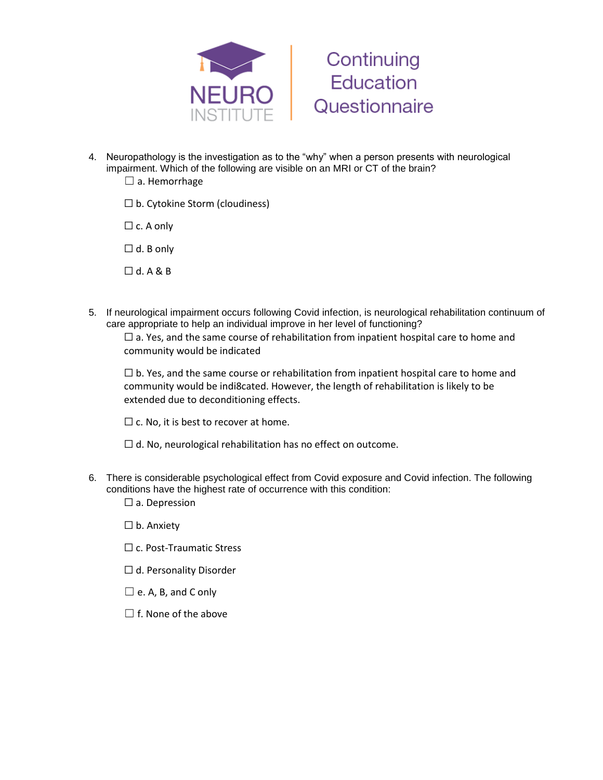



- 4. Neuropathology is the investigation as to the "why" when a person presents with neurological impairment. Which of the following are visible on an MRI or CT of the brain?
	- $\Box$  a. Hemorrhage
	- $\square$  b. Cytokine Storm (cloudiness)
	- $\Box$  c. A only
	- $\Box$  d. B only
	- ☐ d. A & B
- 5. If neurological impairment occurs following Covid infection, is neurological rehabilitation continuum of care appropriate to help an individual improve in her level of functioning?

 $\Box$  a. Yes, and the same course of rehabilitation from inpatient hospital care to home and community would be indicated

 $\Box$  b. Yes, and the same course or rehabilitation from inpatient hospital care to home and community would be indi8cated. However, the length of rehabilitation is likely to be extended due to deconditioning effects.

 $\Box$  c. No, it is best to recover at home.

- $\Box$  d. No, neurological rehabilitation has no effect on outcome.
- 6. There is considerable psychological effect from Covid exposure and Covid infection. The following conditions have the highest rate of occurrence with this condition:
	- □ a. Depression
	- ☐ b. Anxiety
	- □ c. Post-Traumatic Stress
	- □ d. Personality Disorder
	- $\square$  e. A, B, and C only
	- $\Box$  f. None of the above